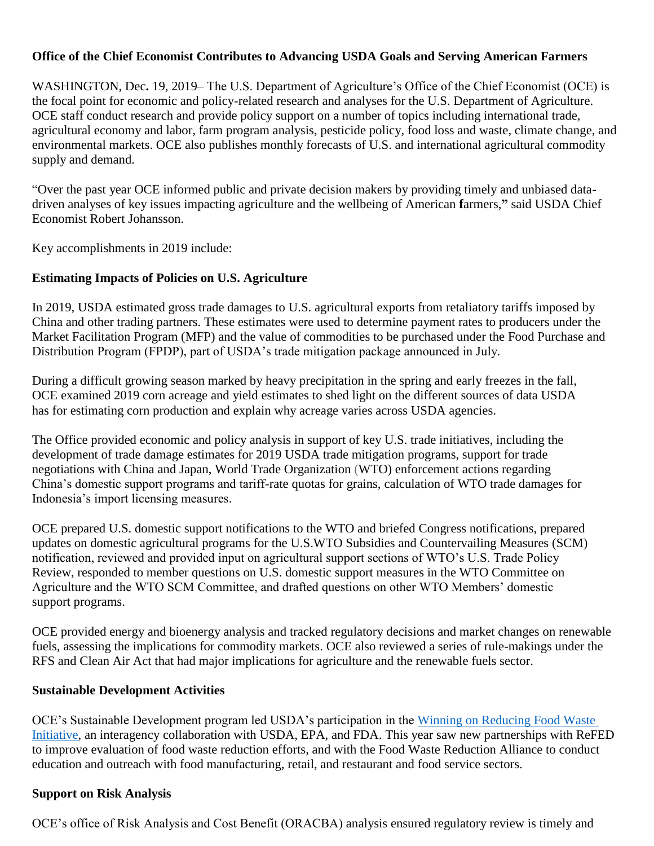### **Office of the Chief Economist Contributes to Advancing USDA Goals and Serving American Farmers**

WASHINGTON, Dec**.** 19, 2019– The U.S. Department of Agriculture's Office of the Chief Economist (OCE) is the focal point for economic and policy-related research and analyses for the U.S. Department of Agriculture. OCE staff conduct research and provide policy support on a number of topics including international trade, agricultural economy and labor, farm program analysis, pesticide policy, food loss and waste, climate change, and environmental markets. OCE also publishes monthly forecasts of U.S. and international agricultural commodity supply and demand.

"Over the past year OCE informed public and private decision makers by providing timely and unbiased datadriven analyses of key issues impacting agriculture and the wellbeing of American **f**armers,**"** said USDA Chief Economist Robert Johansson.

Key accomplishments in 2019 include:

#### **Estimating Impacts of Policies on U.S. Agriculture**

In 2019, USDA estimated gross trade damages to U.S. agricultural exports from retaliatory tariffs imposed by China and other trading partners. These estimates were used to determine payment rates to producers under the Market Facilitation Program (MFP) and the value of commodities to be purchased under the Food Purchase and Distribution Program (FPDP), part of USDA's trade mitigation package announced in July.

During a difficult growing season marked by heavy precipitation in the spring and early freezes in the fall, OCE examined 2019 corn acreage and yield estimates to shed light on the different sources of data USDA has for estimating corn production and explain why acreage varies across USDA agencies.

The Office provided economic and policy analysis in support of key U.S. trade initiatives, including the development of trade damage estimates for 2019 USDA trade mitigation programs, support for trade negotiations with China and Japan, World Trade Organization (WTO) enforcement actions regarding China's domestic support programs and tariff-rate quotas for grains, calculation of WTO trade damages for Indonesia's import licensing measures.

OCE prepared U.S. domestic support notifications to the WTO and briefed Congress notifications, prepared updates on domestic agricultural programs for the U.S.WTO Subsidies and Countervailing Measures (SCM) notification, reviewed and provided input on agricultural support sections of WTO's U.S. Trade Policy Review, responded to member questions on U.S. domestic support measures in the WTO Committee on Agriculture and the WTO SCM Committee, and drafted questions on other WTO Members' domestic support programs.

OCE provided energy and bioenergy analysis and tracked regulatory decisions and market changes on renewable fuels, assessing the implications for commodity markets. OCE also reviewed a series of rule-makings under the RFS and Clean Air Act that had major implications for agriculture and the renewable fuels sector.

### **Sustainable Development Activities**

OCE's Sustainable Development program led USDA's participation in the Winning on Reducing Food Waste [Initiative,](https://www.usda.gov/foodlossandwaste/winning) an interagency collaboration with USDA, EPA, and FDA. This year saw new partnerships with ReFED to improve evaluation of food waste reduction efforts, and with the Food Waste Reduction Alliance to conduct education and outreach with food manufacturing, retail, and restaurant and food service sectors.

### **Support on Risk Analysis**

OCE's office of Risk Analysis and Cost Benefit (ORACBA) analysis ensured regulatory review is timely and